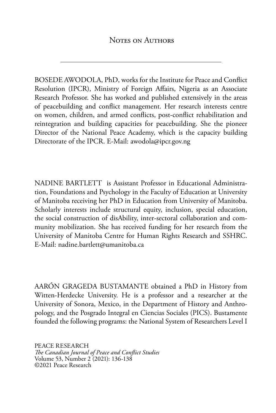<span id="page-0-0"></span>BOSEDE AWODOLA, PhD, works for the Institute for Peace and Conflict Resolution (IPCR), Ministry of Foreign Affairs, Nigeria as an Associate Research Professor. She has worked and published extensively in the areas of peacebuilding and conflict management. Her research interests centre on women, children, and armed conflicts, post-conflict rehabilitation and reintegration and building capacities for peacebuilding. She the pioneer Director of the National Peace Academy, which is the capacity building Directorate of the IPCR. E-Mail: awodola@ipcr.gov.ng

NADINE BARTLETT is Assistant Professor in Educational Administration, Foundations and Psychology in the Faculty of Education at University of Manitoba receiving her PhD in Education from University of Manitoba. Scholarly interests include structural equity, inclusion, special education, the social construction of disAbility, inter-sectoral collaboration and community mobilization. She has received funding for her research from the University of Manitoba Centre for Human Rights Research and SSHRC. E-Mail: nadine.bartlett@umanitoba.ca

AARÓN GRAGEDA BUSTAMANTE obtained a PhD in History from Witten-Herdecke University. He is a professor and a researcher at the University of Sonora, Mexico, in the Department of History and Anthropology, and the Posgrado Integral en Ciencias Sociales (PICS). Bustamente founded the following programs: the National System of Researchers Level I

PEACE RESEARCH *The Canadian Journal of Peace and Conflict Studies* Volume 53, Number 2 (2021): [136-](#page-0-0)138 ©2021 Peace Research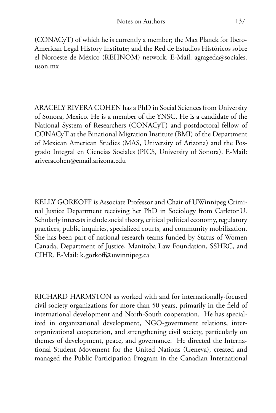(CONACyT) of which he is currently a member; the Max Planck for Ibero-American Legal History Institute; and the Red de Estudios Históricos sobre el Noroeste de México (REHNOM) network. E-Mail: agrageda@sociales. uson.mx

ARACELY RIVERA COHEN has a PhD in Social Sciences from University of Sonora, Mexico. He is a member of the YNSC. He is a candidate of the National System of Researchers (CONACyT) and postdoctoral fellow of CONACyT at the Binational Migration Institute (BMI) of the Department of Mexican American Studies (MAS, University of Arizona) and the Posgrado Integral en Ciencias Sociales (PICS, University of Sonora). E-Mail: ariveracohen@email.arizona.edu

KELLY GORKOFF is Associate Professor and Chair of UWinnipeg Criminal Justice Department receiving her PhD in Sociology from CarletonU. Scholarly interests include social theory, critical political economy, regulatory practices, public inquiries, specialized courts, and community mobilization. She has been part of national research teams funded by Status of Women Canada, Department of Justice, Manitoba Law Foundation, SSHRC, and CIHR. E-Mail: k.gorkoff@uwinnipeg.ca

RICHARD HARMSTON as worked with and for internationally-focused civil society organizations for more than 50 years, primarily in the field of international development and North-South cooperation. He has specialized in organizational development, NGO-government relations, interorganizational cooperation, and strengthening civil society, particularly on themes of development, peace, and governance. He directed the International Student Movement for the United Nations (Geneva), created and managed the Public Participation Program in the Canadian International